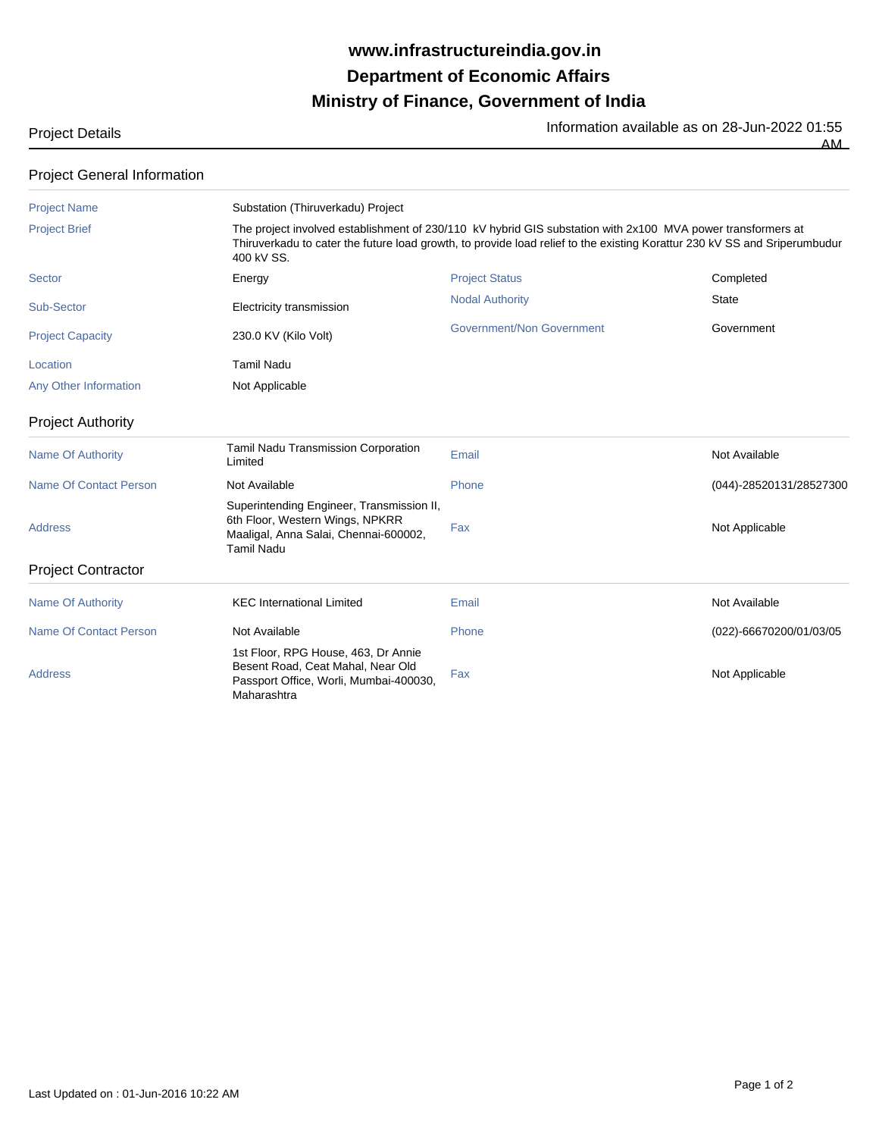## **Ministry of Finance, Government of India Department of Economic Affairs www.infrastructureindia.gov.in**

Project Details **Information available as on 28-Jun-2022 01:55** 

AM

## Project General Information

| <b>Project Name</b>           | Substation (Thiruverkadu) Project<br>The project involved establishment of 230/110 kV hybrid GIS substation with 2x100 MVA power transformers at<br>Thiruverkadu to cater the future load growth, to provide load relief to the existing Korattur 230 kV SS and Sriperumbudur<br>400 kV SS. |                                  |                         |  |
|-------------------------------|---------------------------------------------------------------------------------------------------------------------------------------------------------------------------------------------------------------------------------------------------------------------------------------------|----------------------------------|-------------------------|--|
| <b>Project Brief</b>          |                                                                                                                                                                                                                                                                                             |                                  |                         |  |
| <b>Sector</b>                 | Energy                                                                                                                                                                                                                                                                                      | <b>Project Status</b>            | Completed               |  |
| Sub-Sector                    | Electricity transmission                                                                                                                                                                                                                                                                    | <b>Nodal Authority</b>           | <b>State</b>            |  |
| <b>Project Capacity</b>       | 230.0 KV (Kilo Volt)                                                                                                                                                                                                                                                                        | <b>Government/Non Government</b> | Government              |  |
| Location                      | <b>Tamil Nadu</b>                                                                                                                                                                                                                                                                           |                                  |                         |  |
| Any Other Information         | Not Applicable                                                                                                                                                                                                                                                                              |                                  |                         |  |
| <b>Project Authority</b>      |                                                                                                                                                                                                                                                                                             |                                  |                         |  |
| <b>Name Of Authority</b>      | Tamil Nadu Transmission Corporation<br>Limited                                                                                                                                                                                                                                              | Email                            | Not Available           |  |
| <b>Name Of Contact Person</b> | Not Available                                                                                                                                                                                                                                                                               | Phone                            | (044)-28520131/28527300 |  |
| <b>Address</b>                | Superintending Engineer, Transmission II,<br>6th Floor, Western Wings, NPKRR<br>Maaligal, Anna Salai, Chennai-600002,<br><b>Tamil Nadu</b>                                                                                                                                                  | Fax                              | Not Applicable          |  |
| <b>Project Contractor</b>     |                                                                                                                                                                                                                                                                                             |                                  |                         |  |
| <b>Name Of Authority</b>      | <b>KEC International Limited</b>                                                                                                                                                                                                                                                            | Email                            | Not Available           |  |
| <b>Name Of Contact Person</b> | Not Available                                                                                                                                                                                                                                                                               | Phone                            | (022)-66670200/01/03/05 |  |
| <b>Address</b>                | 1st Floor, RPG House, 463, Dr Annie<br>Besent Road, Ceat Mahal, Near Old<br>Passport Office, Worli, Mumbai-400030,<br>Maharashtra                                                                                                                                                           | Fax                              | Not Applicable          |  |